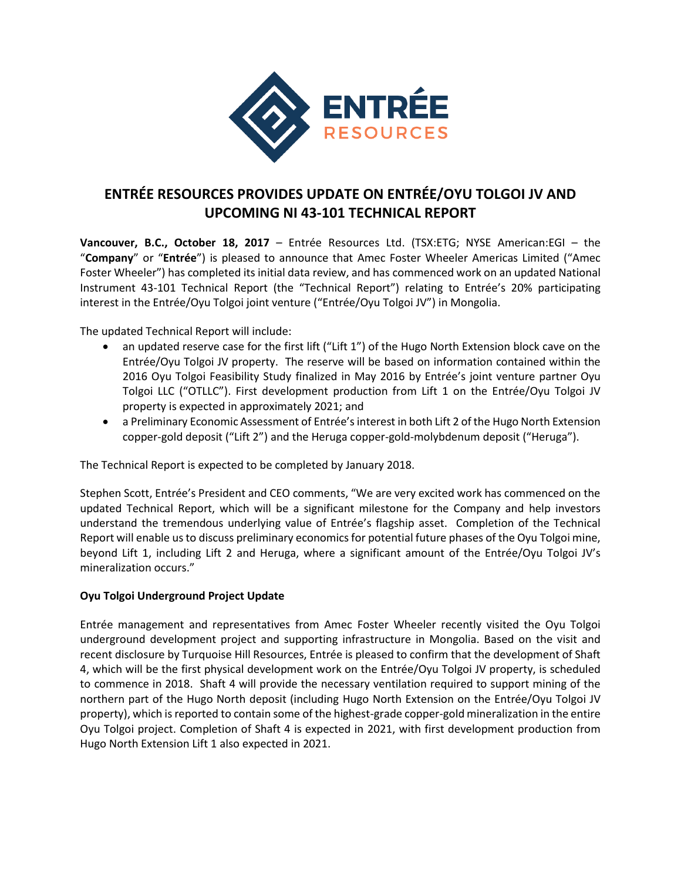

# **ENTRÉE RESOURCES PROVIDES UPDATE ON ENTRÉE/OYU TOLGOI JV AND UPCOMING NI 43-101 TECHNICAL REPORT**

**Vancouver, B.C., October 18, 2017** – Entrée Resources Ltd. (TSX:ETG; NYSE American:EGI – the "**Company**" or "**Entrée**") is pleased to announce that Amec Foster Wheeler Americas Limited ("Amec Foster Wheeler") has completed its initial data review, and has commenced work on an updated National Instrument 43-101 Technical Report (the "Technical Report") relating to Entrée's 20% participating interest in the Entrée/Oyu Tolgoi joint venture ("Entrée/Oyu Tolgoi JV") in Mongolia.

The updated Technical Report will include:

- an updated reserve case for the first lift ("Lift 1") of the Hugo North Extension block cave on the Entrée/Oyu Tolgoi JV property. The reserve will be based on information contained within the 2016 Oyu Tolgoi Feasibility Study finalized in May 2016 by Entrée's joint venture partner Oyu Tolgoi LLC ("OTLLC"). First development production from Lift 1 on the Entrée/Oyu Tolgoi JV property is expected in approximately 2021; and
- a Preliminary Economic Assessment of Entrée's interest in both Lift 2 of the Hugo North Extension copper-gold deposit ("Lift 2") and the Heruga copper-gold-molybdenum deposit ("Heruga").

The Technical Report is expected to be completed by January 2018.

Stephen Scott, Entrée's President and CEO comments, "We are very excited work has commenced on the updated Technical Report, which will be a significant milestone for the Company and help investors understand the tremendous underlying value of Entrée's flagship asset. Completion of the Technical Report will enable us to discuss preliminary economics for potential future phases of the Oyu Tolgoi mine, beyond Lift 1, including Lift 2 and Heruga, where a significant amount of the Entrée/Oyu Tolgoi JV's mineralization occurs."

## **Oyu Tolgoi Underground Project Update**

Entrée management and representatives from Amec Foster Wheeler recently visited the Oyu Tolgoi underground development project and supporting infrastructure in Mongolia. Based on the visit and recent disclosure by Turquoise Hill Resources, Entrée is pleased to confirm that the development of Shaft 4, which will be the first physical development work on the Entrée/Oyu Tolgoi JV property, is scheduled to commence in 2018. Shaft 4 will provide the necessary ventilation required to support mining of the northern part of the Hugo North deposit (including Hugo North Extension on the Entrée/Oyu Tolgoi JV property), which is reported to contain some of the highest-grade copper-gold mineralization in the entire Oyu Tolgoi project. Completion of Shaft 4 is expected in 2021, with first development production from Hugo North Extension Lift 1 also expected in 2021.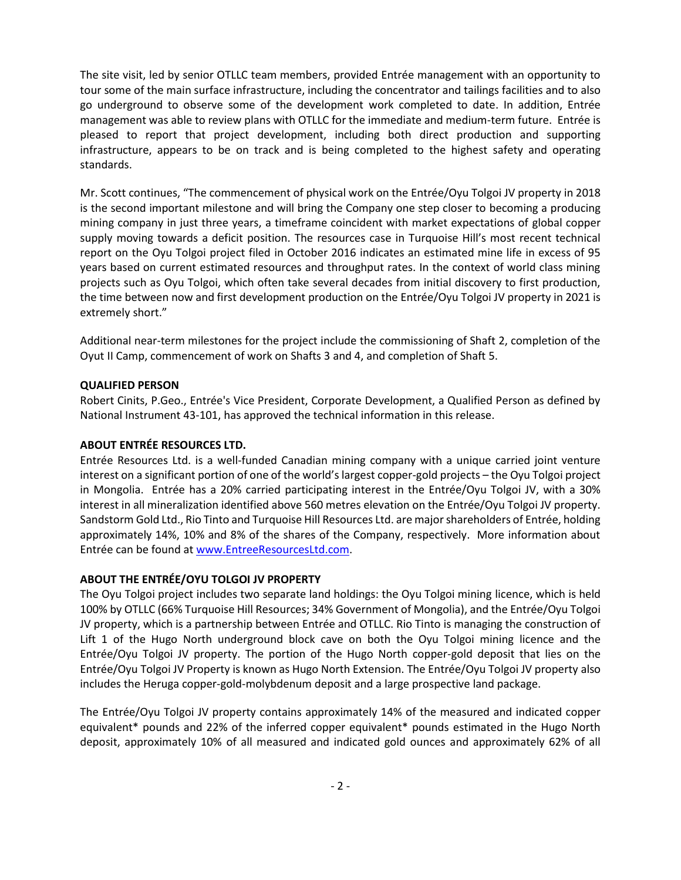The site visit, led by senior OTLLC team members, provided Entrée management with an opportunity to tour some of the main surface infrastructure, including the concentrator and tailings facilities and to also go underground to observe some of the development work completed to date. In addition, Entrée management was able to review plans with OTLLC for the immediate and medium-term future. Entrée is pleased to report that project development, including both direct production and supporting infrastructure, appears to be on track and is being completed to the highest safety and operating standards.

Mr. Scott continues, "The commencement of physical work on the Entrée/Oyu Tolgoi JV property in 2018 is the second important milestone and will bring the Company one step closer to becoming a producing mining company in just three years, a timeframe coincident with market expectations of global copper supply moving towards a deficit position. The resources case in Turquoise Hill's most recent technical report on the Oyu Tolgoi project filed in October 2016 indicates an estimated mine life in excess of 95 years based on current estimated resources and throughput rates. In the context of world class mining projects such as Oyu Tolgoi, which often take several decades from initial discovery to first production, the time between now and first development production on the Entrée/Oyu Tolgoi JV property in 2021 is extremely short."

Additional near-term milestones for the project include the commissioning of Shaft 2, completion of the Oyut II Camp, commencement of work on Shafts 3 and 4, and completion of Shaft 5.

#### **QUALIFIED PERSON**

Robert Cinits, P.Geo., Entrée's Vice President, Corporate Development, a Qualified Person as defined by National Instrument 43-101, has approved the technical information in this release.

### **ABOUT ENTRÉE RESOURCES LTD.**

Entrée Resources Ltd. is a well-funded Canadian mining company with a unique carried joint venture interest on a significant portion of one of the world's largest copper-gold projects – the Oyu Tolgoi project in Mongolia. Entrée has a 20% carried participating interest in the Entrée/Oyu Tolgoi JV, with a 30% interest in all mineralization identified above 560 metres elevation on the Entrée/Oyu Tolgoi JV property. Sandstorm Gold Ltd., Rio Tinto and Turquoise Hill Resources Ltd. are major shareholders of Entrée, holding approximately 14%, 10% and 8% of the shares of the Company, respectively. More information about Entrée can be found a[t www.EntreeResourcesLtd.com.](http://www.entreeresourcesltd.com/)

## **ABOUT THE ENTRÉE/OYU TOLGOI JV PROPERTY**

The Oyu Tolgoi project includes two separate land holdings: the Oyu Tolgoi mining licence, which is held 100% by OTLLC (66% Turquoise Hill Resources; 34% Government of Mongolia), and the Entrée/Oyu Tolgoi JV property, which is a partnership between Entrée and OTLLC. Rio Tinto is managing the construction of Lift 1 of the Hugo North underground block cave on both the Oyu Tolgoi mining licence and the Entrée/Oyu Tolgoi JV property. The portion of the Hugo North copper-gold deposit that lies on the Entrée/Oyu Tolgoi JV Property is known as Hugo North Extension. The Entrée/Oyu Tolgoi JV property also includes the Heruga copper-gold-molybdenum deposit and a large prospective land package.

The Entrée/Oyu Tolgoi JV property contains approximately 14% of the measured and indicated copper equivalent\* pounds and 22% of the inferred copper equivalent\* pounds estimated in the Hugo North deposit, approximately 10% of all measured and indicated gold ounces and approximately 62% of all